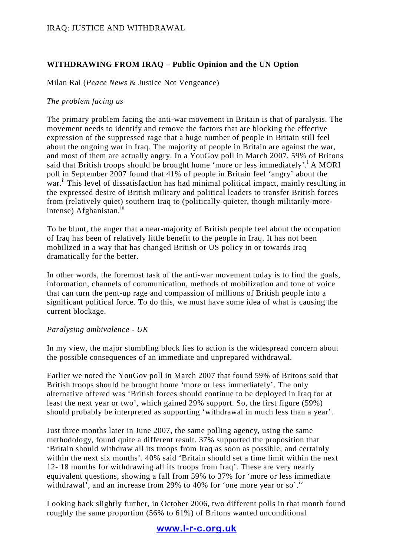# **WITHDRAWING FROM IRAQ – Public Opinion and the UN Option**

Milan Rai (*Peace News* & Justice Not Vengeance)

### *The problem facing us*

The primary problem facing the anti-war movement in Britain is that of paralysis. The movement needs to identify and remove the factors that are blocking the effective expression of the suppressed rage that a huge number of people in Britain still feel about the ongoing war in Iraq. The majority of people in Britain are against the war, and most of them are actually angry. In a YouGov poll in March 2007, 59% of Britons said that British troops should be brought home 'more or less immediately'.<sup>i</sup> A MORI poll in September 2007 found that 41% of people in Britain feel 'angry' about the war.<sup>ii</sup> This level of dissatisfaction has had minimal political impact, mainly resulting in the expressed desire of British military and political leaders to transfer British forces from (relatively quiet) southern Iraq to (politically-quieter, though militarily-moreintense) Afghanistan.<sup>iii</sup>

To be blunt, the anger that a near-majority of British people feel about the occupation of Iraq has been of relatively little benefit to the people in Iraq. It has not been mobilized in a way that has changed British or US policy in or towards Iraq dramatically for the better.

In other words, the foremost task of the anti-war movement today is to find the goals, information, channels of communication, methods of mobilization and tone of voice that can turn the pent-up rage and compassion of millions of British people into a significant political force. To do this, we must have some idea of what is causing the current blockage.

## *Paralysing ambivalence - UK*

In my view, the major stumbling block lies to action is the widespread concern about the possible consequences of an immediate and unprepared withdrawal.

Earlier we noted the YouGov poll in March 2007 that found 59% of Britons said that British troops should be brought home 'more or less immediately'. The only alternative offered was 'British forces should continue to be deployed in Iraq for at least the next year or two', which gained 29% support. So, the first figure (59%) should probably be interpreted as supporting 'withdrawal in much less than a year'.

Just three months later in June 2007, the same polling agency, using the same methodology, found quite a different result. 37% supported the proposition that 'Britain should withdraw all its troops from Iraq as soon as possible, and certainly within the next six months'. 40% said 'Britain should set a time limit within the next 12- 18 months for withdrawing all its troops from Iraq'. These are very nearly equivalent questions, showing a fall from 59% to 37% for 'more or less immediate withdrawal', and an increase from 29% to 40% for 'one more year or so'.<sup>iv</sup>

Looking back slightly further, in October 2006, two different polls in that month found roughly the same proportion (56% to 61%) of Britons wanted unconditional

www.l-r-c.org.uk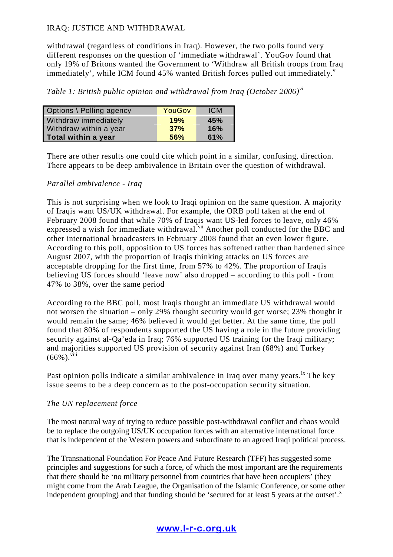withdrawal (regardless of conditions in Iraq). However, the two polls found very different responses on the question of 'immediate withdrawal'. YouGov found that only 19% of Britons wanted the Government to 'Withdraw all British troops from Iraq immediately', while ICM found 45% wanted British forces pulled out immediately. $v$ 

*Table 1: British public opinion and withdrawal from Iraq (October 2006)vi*

| Options \ Polling agency | YouGov | <b>ICM</b> |
|--------------------------|--------|------------|
| Withdraw immediately     | 19%    | 45%        |
| Withdraw within a year   | 37%    | 16%        |
| Total within a year      | 56%    | 61%        |

There are other results one could cite which point in a similar, confusing, direction. There appears to be deep ambivalence in Britain over the question of withdrawal.

## *Parallel ambivalence - Iraq*

This is not surprising when we look to Iraqi opinion on the same question. A majority of Iraqis want US/UK withdrawal. For example, the ORB poll taken at the end of February 2008 found that while 70% of Iraqis want US-led forces to leave, only 46% expressed a wish for immediate withdrawal.<sup>vii</sup> Another poll conducted for the BBC and other international broadcasters in February 2008 found that an even lower figure. According to this poll, opposition to US forces has softened rather than hardened since August 2007, with the proportion of Iraqis thinking attacks on US forces are acceptable dropping for the first time, from 57% to 42%. The proportion of Iraqis believing US forces should 'leave now' also dropped – according to this poll - from 47% to 38%, over the same period

According to the BBC poll, most Iraqis thought an immediate US withdrawal would not worsen the situation – only 29% thought security would get worse; 23% thought it would remain the same; 46% believed it would get better. At the same time, the poll found that 80% of respondents supported the US having a role in the future providing security against al-Qa'eda in Iraq; 76% supported US training for the Iraqi military; and majorities supported US provision of security against Iran (68%) and Turkey  $(66\%)$ . viii

Past opinion polls indicate a similar ambivalence in Iraq over many years.<sup>ix</sup> The key issue seems to be a deep concern as to the post-occupation security situation.

## *The UN replacement force*

The most natural way of trying to reduce possible post-withdrawal conflict and chaos would be to replace the outgoing US/UK occupation forces with an alternative international force that is independent of the Western powers and subordinate to an agreed Iraqi political process.

The Transnational Foundation For Peace And Future Research (TFF) has suggested some principles and suggestions for such a force, of which the most important are the requirements that there should be 'no military personnel from countries that have been occupiers' (they might come from the Arab League, the Organisation of the Islamic Conference, or some other independent grouping) and that funding should be 'secured for at least 5 years at the outset'.<sup>x</sup>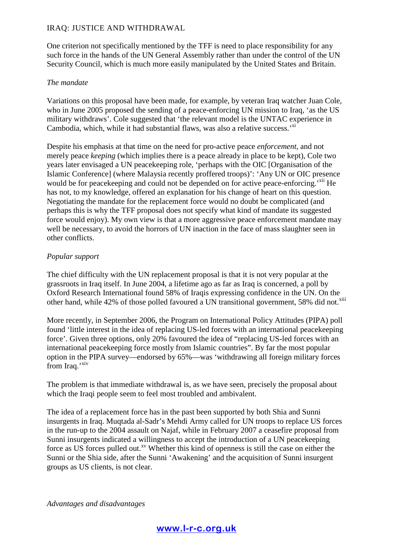One criterion not specifically mentioned by the TFF is need to place responsibility for any such force in the hands of the UN General Assembly rather than under the control of the UN Security Council, which is much more easily manipulated by the United States and Britain.

### *The mandate*

Variations on this proposal have been made, for example, by veteran Iraq watcher Juan Cole, who in June 2005 proposed the sending of a peace-enforcing UN mission to Iraq, 'as the US military withdraws'. Cole suggested that 'the relevant model is the UNTAC experience in Cambodia, which, while it had substantial flaws, was also a relative success.<sup>'xi</sup>

Despite his emphasis at that time on the need for pro-active peace *enforcement*, and not merely peace *keeping* (which implies there is a peace already in place to be kept), Cole two years later envisaged a UN peacekeeping role, 'perhaps with the OIC [Organisation of the Islamic Conference] (where Malaysia recently proffered troops)': 'Any UN or OIC presence would be for peacekeeping and could not be depended on for active peace-enforcing.<sup>'x<sub>11</sub></sup> He has not, to my knowledge, offered an explanation for his change of heart on this question. Negotiating the mandate for the replacement force would no doubt be complicated (and perhaps this is why the TFF proposal does not specify what kind of mandate its suggested force would enjoy). My own view is that a more aggressive peace enforcement mandate may well be necessary, to avoid the horrors of UN inaction in the face of mass slaughter seen in other conflicts.

#### *Popular support*

The chief difficulty with the UN replacement proposal is that it is not very popular at the grassroots in Iraq itself. In June 2004, a lifetime ago as far as Iraq is concerned, a poll by Oxford Research International found 58% of Iraqis expressing confidence in the UN. On the other hand, while 42% of those polled favoured a UN transitional government, 58% did not.<sup>xiii</sup>

More recently, in September 2006, the Program on International Policy Attitudes (PIPA) poll found 'little interest in the idea of replacing US-led forces with an international peacekeeping force'. Given three options, only 20% favoured the idea of "replacing US-led forces with an international peacekeeping force mostly from Islamic countries". By far the most popular option in the PIPA survey—endorsed by 65%—was 'withdrawing all foreign military forces from Iraq.'<sup>xiv</sup>

The problem is that immediate withdrawal is, as we have seen, precisely the proposal about which the Iraqi people seem to feel most troubled and ambivalent.

The idea of a replacement force has in the past been supported by both Shia and Sunni insurgents in Iraq. Muqtada al-Sadr's Mehdi Army called for UN troops to replace US forces in the run-up to the 2004 assault on Najaf, while in February 2007 a ceasefire proposal from Sunni insurgents indicated a willingness to accept the introduction of a UN peacekeeping force as US forces pulled out.<sup>xv</sup> Whether this kind of openness is still the case on either the Sunni or the Shia side, after the Sunni 'Awakening' and the acquisition of Sunni insurgent groups as US clients, is not clear.

*Advantages and disadvantages*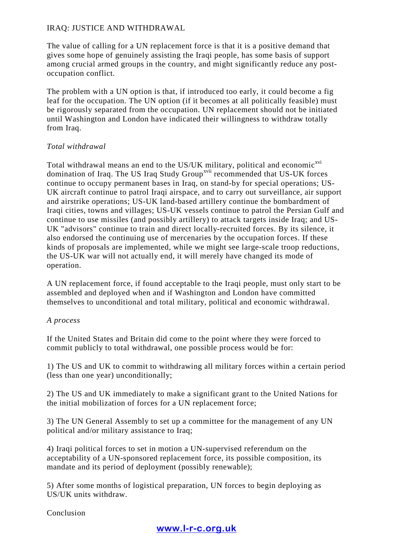The value of calling for a UN replacement force is that it is a positive demand that gives some hope of genuinely assisting the Iraqi people, has some basis of support among crucial armed groups in the country, and might significantly reduce any postoccupation conflict.

The problem with a UN option is that, if introduced too early, it could become a fig leaf for the occupation. The UN option (if it becomes at all politically feasible) must be rigorously separated from the occupation. UN replacement should not be initiated until Washington and London have indicated their willingness to withdraw totally from Iraq.

## *Total withdrawal*

Total withdrawal means an end to the US/UK military, political and economic<sup>xvi</sup> domination of Iraq. The US Iraq Study Group<sup>xvii</sup> recommended that US-UK forces continue to occupy permanent bases in Iraq, on stand-by for special operations; US-UK aircraft continue to patrol Iraqi airspace, and to carry out surveillance, air support and airstrike operations; US-UK land-based artillery continue the bombardment of Iraqi cities, towns and villages; US-UK vessels continue to patrol the Persian Gulf and continue to use missiles (and possibly artillery) to attack targets inside Iraq; and US-UK "advisors" continue to train and direct locally-recruited forces. By its silence, it also endorsed the continuing use of mercenaries by the occupation forces. If these kinds of proposals are implemented, while we might see large-scale troop reductions, the US-UK war will not actually end, it will merely have changed its mode of operation.

A UN replacement force, if found acceptable to the Iraqi people, must only start to be assembled and deployed when and if Washington and London have committed themselves to unconditional and total military, political and economic withdrawal.

## *A process*

If the United States and Britain did come to the point where they were forced to commit publicly to total withdrawal, one possible process would be for:

1) The US and UK to commit to withdrawing all military forces within a certain period (less than one year) unconditionally;

2) The US and UK immediately to make a significant grant to the United Nations for the initial mobilization of forces for a UN replacement force;

3) The UN General Assembly to set up a committee for the management of any UN political and/or military assistance to Iraq;

4) Iraqi political forces to set in motion a UN-supervised referendum on the acceptability of a UN-sponsored replacement force, its possible composition, its mandate and its period of deployment (possibly renewable);

5) After some months of logistical preparation, UN forces to begin deploying as US/UK units withdraw.

Conclusion